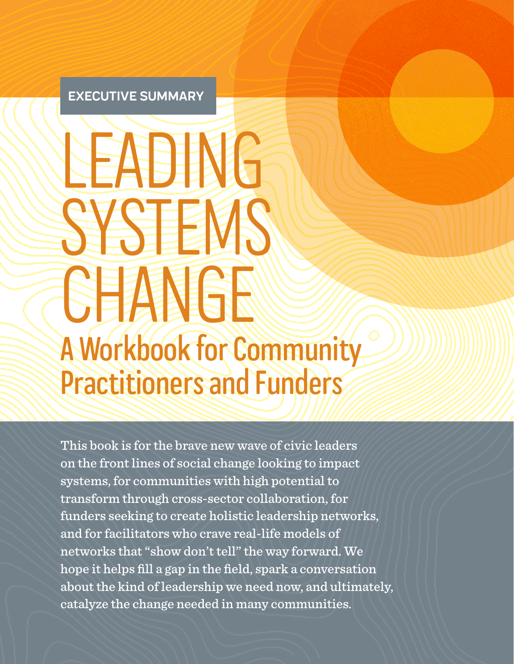#### **EXECUTIVE SUMMARY**

# LEADING SYSTEMS! **CEANGE** A Workbook for Community Practitioners and Funders

This book is for the brave new wave of civic leaders on the front lines of social change looking to impact systems, for communities with high potential to transform through cross-sector collaboration, for funders seeking to create holistic leadership networks, and for facilitators who crave real-life models of networks that "show don't tell" the way forward. We hope it helps fill a gap in the field, spark a conversation about the kind of leadership we need now, and ultimately, catalyze the change needed in many communities.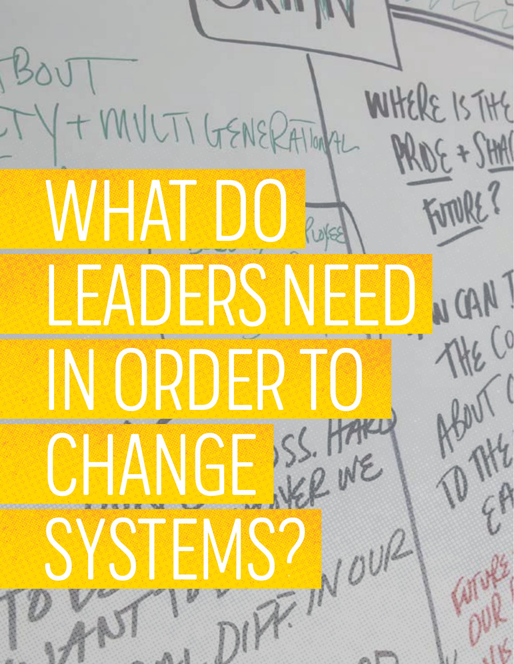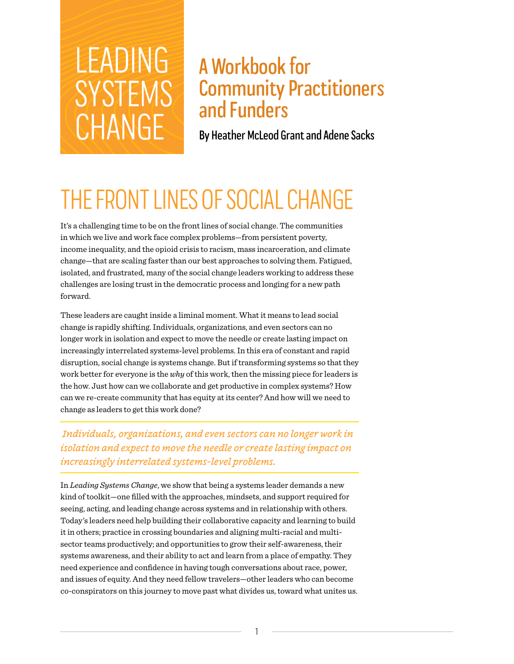# LEADING SYSTEMS CHANGE

### A Workbook for Community Practitioners and Funders

By Heather McLeod Grant and Adene Sacks

### THE FRONT LINES OF SOCIAL CHANGE

It's a challenging time to be on the front lines of social change. The communities in which we live and work face complex problems—from persistent poverty, income inequality, and the opioid crisis to racism, mass incarceration, and climate change—that are scaling faster than our best approaches to solving them. Fatigued, isolated, and frustrated, many of the social change leaders working to address these challenges are losing trust in the democratic process and longing for a new path forward.

These leaders are caught inside a liminal moment. What it means to lead social change is rapidly shifting. Individuals, organizations, and even sectors can no longer work in isolation and expect to move the needle or create lasting impact on increasingly interrelated systems-level problems. In this era of constant and rapid disruption, social change is systems change. But if transforming systems so that they work better for everyone is the *why* of this work, then the missing piece for leaders is the how. Just how can we collaborate and get productive in complex systems? How can we re-create community that has equity at its center? And how will we need to change as leaders to get this work done?

 *Individuals, organizations, and even sectors can no longer work in isolation and expect to move the needle or create lasting impact on increasingly interrelated systems-level problems.*

In *Leading Systems Change*, we show that being a systems leader demands a new kind of toolkit—one filled with the approaches, mindsets, and support required for seeing, acting, and leading change across systems and in relationship with others. Today's leaders need help building their collaborative capacity and learning to build it in others; practice in crossing boundaries and aligning multi-racial and multisector teams productively; and opportunities to grow their self-awareness, their systems awareness, and their ability to act and learn from a place of empathy. They need experience and confidence in having tough conversations about race, power, and issues of equity. And they need fellow travelers—other leaders who can become co-conspirators on this journey to move past what divides us, toward what unites us.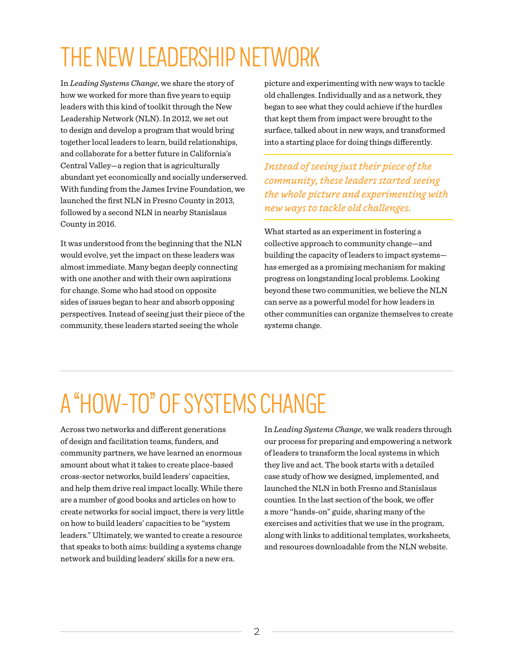## THE NEW LEADERSHIP NETWORK

In *Leading Systems Change*, we share the story of how we worked for more than five years to equip leaders with this kind of toolkit through the New Leadership Network (NLN). In 2012, we set out to design and develop a program that would bring together local leaders to learn, build relationships, and collaborate for a better future in California's Central Valley—a region that is agriculturally abundant yet economically and socially underserved. With funding from the James Irvine Foundation, we launched the first NLN in Fresno County in 2013, followed by a second NLN in nearby Stanislaus County in 2016.

It was understood from the beginning that the NLN would evolve, yet the impact on these leaders was almost immediate. Many began deeply connecting with one another and with their own aspirations for change. Some who had stood on opposite sides of issues began to hear and absorb opposing perspectives. Instead of seeing just their piece of the community, these leaders started seeing the whole

picture and experimenting with new ways to tackle old challenges. Individually and as a network, they began to see what they could achieve if the hurdles that kept them from impact were brought to the surface, talked about in new ways, and transformed into a starting place for doing things differently.

*Instead of seeing just their piece of the community, these leaders started seeing the whole picture and experimenting with new ways to tackle old challenges.*

What started as an experiment in fostering a collective approach to community change—and building the capacity of leaders to impact systems has emerged as a promising mechanism for making progress on longstanding local problems. Looking beyond these two communities, we believe the NLN can serve as a powerful model for how leaders in other communities can organize themselves to create systems change.

# A "HOW-TO" OF SYSTEMS CHANGE

Across two networks and different generations of design and facilitation teams, funders, and community partners, we have learned an enormous amount about what it takes to create place-based cross-sector networks, build leaders' capacities, and help them drive real impact locally. While there are a number of good books and articles on how to create networks for social impact, there is very little on how to build leaders' capacities to be "system leaders." Ultimately, we wanted to create a resource that speaks to both aims: building a systems change network and building leaders' skills for a new era.

In *Leading Systems Change*, we walk readers through our process for preparing and empowering a network of leaders to transform the local systems in which they live and act. The book starts with a detailed case study of how we designed, implemented, and launched the NLN in both Fresno and Stanislaus counties. In the last section of the book, we offer a more "hands-on" guide, sharing many of the exercises and activities that we use in the program, along with links to additional templates, worksheets, and resources downloadable from the NLN website.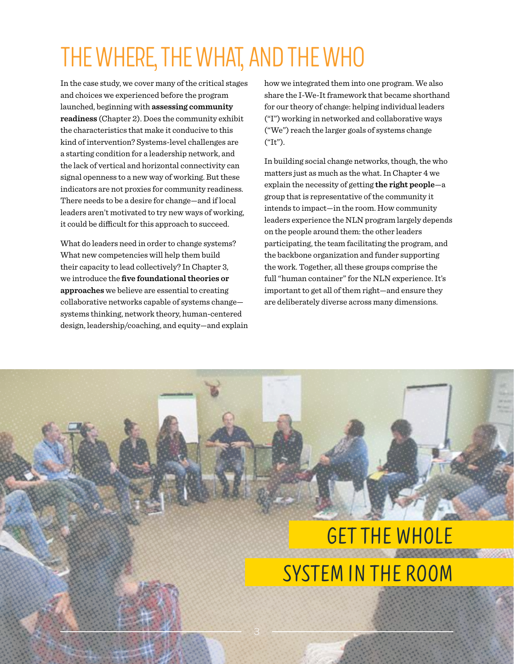### THE WHERE, THE WHAT, AND THE WHO

In the case study, we cover many of the critical stages and choices we experienced before the program launched, beginning with **assessing community readiness** (Chapter 2). Does the community exhibit the characteristics that make it conducive to this kind of intervention? Systems-level challenges are a starting condition for a leadership network, and the lack of vertical and horizontal connectivity can signal openness to a new way of working. But these indicators are not proxies for community readiness. There needs to be a desire for change—and if local leaders aren't motivated to try new ways of working, it could be difficult for this approach to succeed.

What do leaders need in order to change systems? What new competencies will help them build their capacity to lead collectively? In Chapter 3, we introduce the **five foundational theories or approaches** we believe are essential to creating collaborative networks capable of systems change systems thinking, network theory, human-centered design, leadership/coaching, and equity—and explain how we integrated them into one program. We also share the I-We-It framework that became shorthand for our theory of change: helping individual leaders ("I") working in networked and collaborative ways ("We") reach the larger goals of systems change ("It").

In building social change networks, though, the who matters just as much as the what. In Chapter 4 we explain the necessity of getting **the right people**—a group that is representative of the community it intends to impact—in the room. How community leaders experience the NLN program largely depends on the people around them: the other leaders participating, the team facilitating the program, and the backbone organization and funder supporting the work. Together, all these groups comprise the full "human container" for the NLN experience. It's important to get all of them right—and ensure they are deliberately diverse across many dimensions.

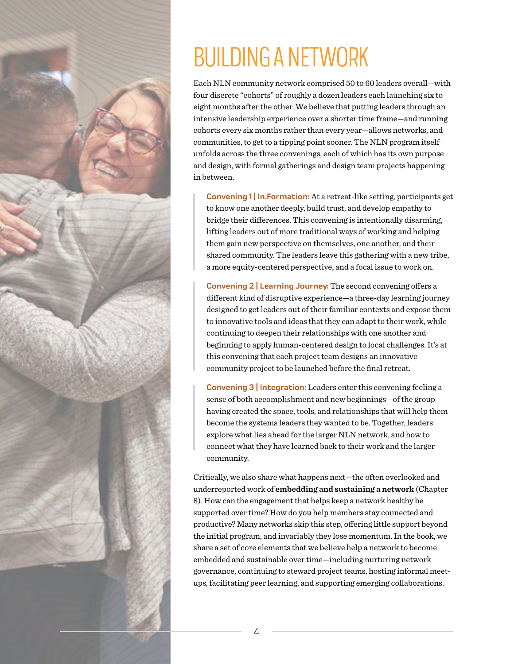

### BUILDING A NETWORK

Each NLN community network comprised 50 to 60 leaders overall—with four discrete "cohorts" of roughly a dozen leaders each launching six to eight months after the other. We believe that putting leaders through an intensive leadership experience over a shorter time frame—and running cohorts every six months rather than every year—allows networks, and communities, to get to a tipping point sooner. The NLN program itself unfolds across the three convenings, each of which has its own purpose and design, with formal gatherings and design team projects happening in between.

**Convening 1| In.Formation:** At a retreat-like setting, participants get to know one another deeply, build trust, and develop empathy to bridge their differences. This convening is intentionally disarming, lifting leaders out of more traditional ways of working and helping them gain new perspective on themselves, one another, and their shared community. The leaders leave this gathering with a new tribe, a more equity-centered perspective, and a focal issue to work on.

**Convening 2 | Learning Journey:** The second convening offers a different kind of disruptive experience—a three-day learning journey designed to get leaders out of their familiar contexts and expose them to innovative tools and ideas that they can adapt to their work, while continuing to deepen their relationships with one another and beginning to apply human-centered design to local challenges. It's at this convening that each project team designs an innovative community project to be launched before the final retreat.

**Convening 3 | Integration:** Leaders enter this convening feeling a sense of both accomplishment and new beginnings—of the group having created the space, tools, and relationships that will help them become the systems leaders they wanted to be. Together, leaders explore what lies ahead for the larger NLN network, and how to connect what they have learned back to their work and the larger community.

Critically, we also share what happens next—the often overlooked and underreported work of **embedding and sustaining a network** (Chapter 8). How can the engagement that helps keep a network healthy be supported over time? How do you help members stay connected and productive? Many networks skip this step, offering little support beyond the initial program, and invariably they lose momentum. In the book, we share a set of core elements that we believe help a network to become embedded and sustainable over time—including nurturing network governance, continuing to steward project teams, hosting informal meetups, facilitating peer learning, and supporting emerging collaborations.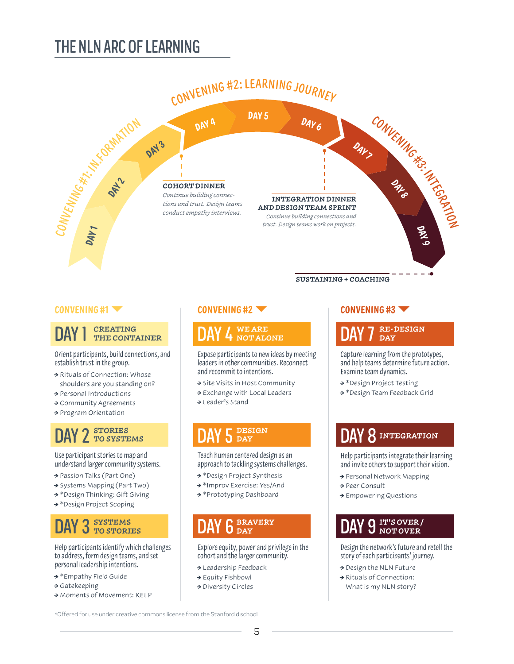### THE NLN ARC OF LEARNING



#### **CREATING THE CONTAINER** DAY 1

Orient participants, build connections, and establish trust in the group.

- Rituals of Connection: Whose shoulders are you standing on?
- → Personal Introductions
- Community Agreements
- → Program Orientation

#### **STORIES** DAY 2 STORIES TO SYSTEMS

Use participant stories to map and understand larger community systems.

- → Passion Talks (Part One)
- → Systems Mapping (Part Two)
- → \*Design Thinking: Gift Giving
- → \*Design Project Scoping

#### **SYSTEMS** DAY 3 SYSTEMS TO STORIES

Help participants identify which challenges to address, form design teams, and set personal leadership intentions.

- → \*Empathy Field Guide
- $\rightarrow$  Gatekeeping
- → Moments of Movement: KELP

#### **WE ARE NOT ALONE** DAY 4 NOTALONE DAY 7

Expose participants to new ideas by meeting leaders in other communities. Reconnect and recommit to intentions.

- → Site Visits in Host Community
- → Exchange with Local Leaders
- → Leader's Stand

#### **DESIGN S** DAY

Teach human centered design as an approach to tackling systems challenges.

- → \*Design Project Synthesis
- \*Improv Exercise: Yes/And
- → \*Prototyping Dashboard

#### **BRAVERY** DAY 6 BRAVERY **DAY 9**

Explore equity, power and privilege in the cohort and the larger community.

- → Leadership Feedback
- Equity Fishbowl
- → Diversity Circles

#### **RE-DESIGN DAY**

Capture learning from the prototypes, and help teams determine future action. Examine team dynamics.

- \*Design Project Testing
- → \*Design Team Feedback Grid

### DAY 5 DAY 8 INTEGRATION

Help participants integrate their learning and invite others to support their vision.

- → Personal Network Mapping
- → Peer Consult
- Empowering Questions

#### **IT'S OVER / NOT OVER**

Design the network's future and retell the story of each participants' journey.

- → Design the NLN Future
- Rituals of Connection: What is my NLN story?

\*Offered for use under creative commons license from the Stanford d.school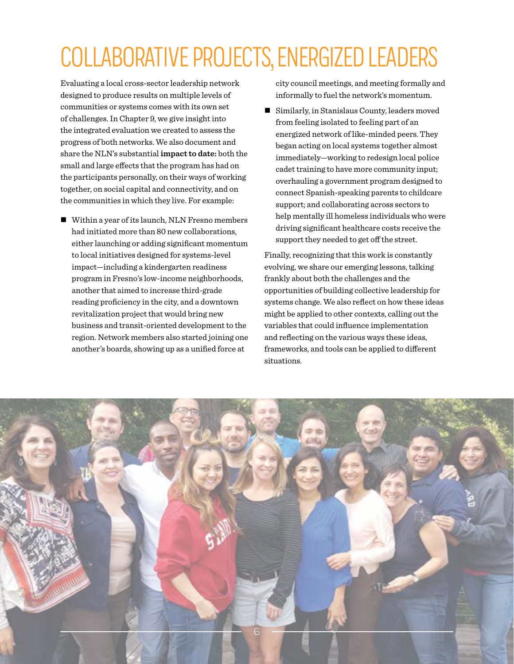## COLLABORATIVE PROJECTS, ENERGIZED LEADERS

Evaluating a local cross-sector leadership network designed to produce results on multiple levels of communities or systems comes with its own set of challenges. In Chapter 9, we give insight into the integrated evaluation we created to assess the progress of both networks. We also document and share the NLN's substantial **impact to date:** both the small and large effects that the program has had on the participants personally, on their ways of working together, on social capital and connectivity, and on the communities in which they live. For example:

■ Within a year of its launch, NLN Fresno members had initiated more than 80 new collaborations, either launching or adding significant momentum to local initiatives designed for systems-level impact—including a kindergarten readiness program in Fresno's low-income neighborhoods, another that aimed to increase third-grade reading proficiency in the city, and a downtown revitalization project that would bring new business and transit-oriented development to the region. Network members also started joining one another's boards, showing up as a unified force at

city council meetings, and meeting formally and informally to fuel the network's momentum.

■ Similarly, in Stanislaus County, leaders moved from feeling isolated to feeling part of an energized network of like-minded peers. They began acting on local systems together almost immediately—working to redesign local police cadet training to have more community input; overhauling a government program designed to connect Spanish-speaking parents to childcare support; and collaborating across sectors to help mentally ill homeless individuals who were driving significant healthcare costs receive the support they needed to get off the street.

Finally, recognizing that this work is constantly evolving, we share our emerging lessons, talking frankly about both the challenges and the opportunities of building collective leadership for systems change. We also reflect on how these ideas might be applied to other contexts, calling out the variables that could influence implementation and reflecting on the various ways these ideas, frameworks, and tools can be applied to different situations.

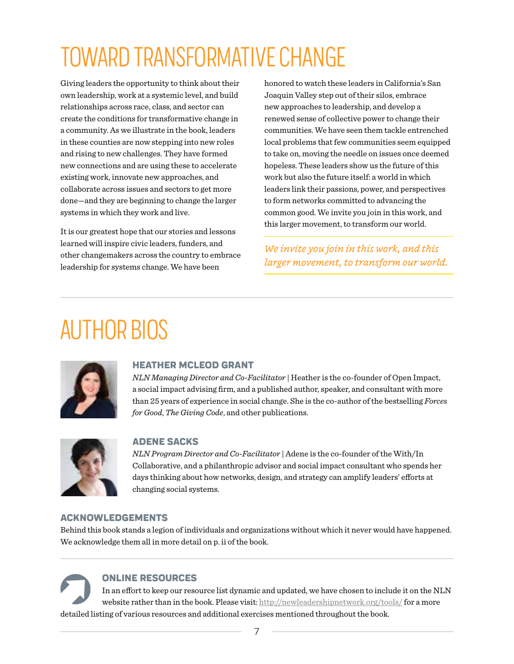## TOWARD TRANSFORMATIVE CHANGE

Giving leaders the opportunity to think about their own leadership, work at a systemic level, and build relationships across race, class, and sector can create the conditions for transformative change in a community. As we illustrate in the book, leaders in these counties are now stepping into new roles and rising to new challenges. They have formed new connections and are using these to accelerate existing work, innovate new approaches, and collaborate across issues and sectors to get more done—and they are beginning to change the larger systems in which they work and live.

It is our greatest hope that our stories and lessons learned will inspire civic leaders, funders, and other changemakers across the country to embrace leadership for systems change. We have been

honored to watch these leaders in California's San Joaquin Valley step out of their silos, embrace new approaches to leadership, and develop a renewed sense of collective power to change their communities. We have seen them tackle entrenched local problems that few communities seem equipped to take on, moving the needle on issues once deemed hopeless. These leaders show us the future of this work but also the future itself: a world in which leaders link their passions, power, and perspectives to form networks committed to advancing the common good. We invite you join in this work, and this larger movement, to transform our world.

*We invite you join in this work, and this larger movement, to transform our world.* 

### AUTHOR BIOS



#### **HEATHER MCLEOD GRANT**

*NLN Managing Director and Co-Facilitator* | Heather is the co-founder of Open Impact, a social impact advising firm, and a published author, speaker, and consultant with more than 25 years of experience in social change. She is the co-author of the bestselling *Forces for Good*, *The Giving Code*, and other publications.



#### **ADENE SACKS**

*NLN Program Director and Co-Facilitator* | Adene is the co-founder of the With/In Collaborative, and a philanthropic advisor and social impact consultant who spends her days thinking about how networks, design, and strategy can amplify leaders' efforts at changing social systems.

#### **ACKNOWLEDGEMENTS**

Behind this book stands a legion of individuals and organizations without which it never would have happened. We acknowledge them all in more detail on p. ii of the book.

**ONLINE RESOURCES** In an effort to keep our resource list dynamic and updated, we have chosen to include it on the NLN website rather than in the book. Please visit: http://newleadershipnetwork.org/tools/ for a more detailed listing of various resources and additional exercises mentioned throughout the book.